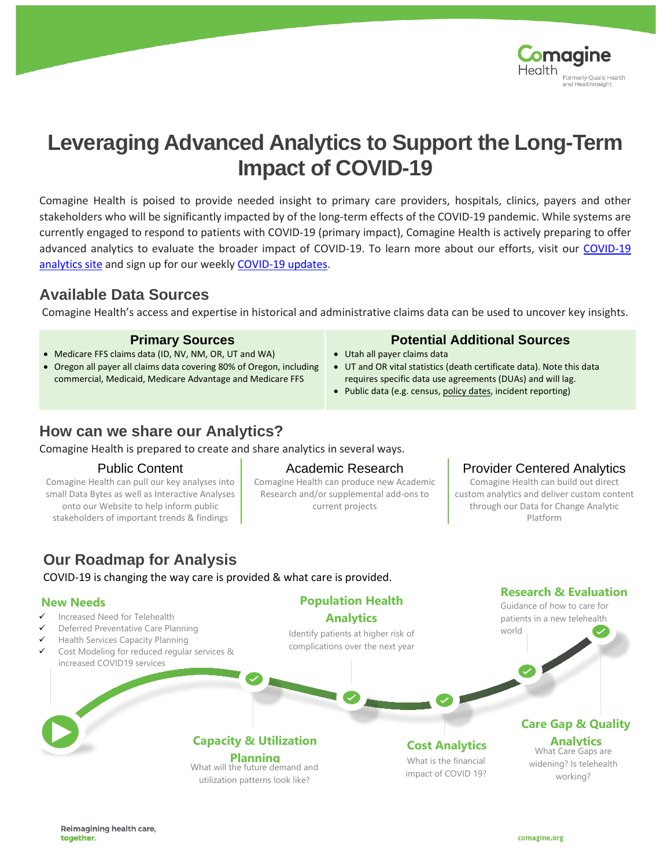

# **Leveraging Advanced Analytics to Support the Long-Term Impact of COVID-19**

Comagine Health is poised to provide needed insight to primary care providers, hospitals, clinics, payers and other stakeholders who will be significantly impacted by of the long-term effects of the COVID-19 pandemic. While systems are currently engaged to respond to patients with COVID-19 (primary impact), Comagine Health is actively preparing to offer advanced analytics to evaluate the broader impact of COVID-19. To learn more about our efforts, visit our [COVID-19](https://comagine.org/covid19/analytics)  [analytics site](https://comagine.org/covid19/analytics) and sign up for our weekly [COVID-19 updates.](https://comagine.org/covid19/sign-up)

### **Available Data Sources**

Comagine Health's access and expertise in historical and administrative claims data can be used to uncover key insights.

- Medicare FFS claims data (ID, NV, NM, OR, UT and WA)
- Oregon all payer all claims data covering 80% of Oregon, including commercial, Medicaid, Medicare Advantage and Medicare FFS

### **Primary Sources Potential Additional Sources**

- Utah all payer claims data
- UT and OR vital statistics (death certificate data). Note this data requires specific data use agreements (DUAs) and will lag.
- Public data (e.g. census[, policy dates,](https://docs.google.com/spreadsheets/d/1zu9qEWI8PsOI_i8nI_S29HDGHlIp2lfVMsGxpQ5tvAQ/htmlview#)) incident reporting)

### **How can we share our Analytics?**

Comagine Health is prepared to create and share analytics in several ways.

Comagine Health can pull our key analyses into small Data Bytes as well as Interactive Analyses onto our Website to help inform public stakeholders of important trends & findings

Comagine Health can produce new Academic Research and/or supplemental add-ons to current projects

> Identify patients at higher risk of complications over the next year

**Population Health Analytics**

### Public Content **Academic Research** Provider Centered Analytics

Comagine Health can build out direct custom analytics and deliver custom content through our Data for Change Analytic Platform

patients in a new telehealth

**Research & Evaluation**

world

# **Our Roadmap for Analysis**

COVID-19 is changing the way care is provided & what care is provided.

What will the future demand and utilization patterns look like?

**Capacity & Utilization** 

### **New Needs Conserverse Conserverse Conserverse Conserverse Conserverse Conserverse Conserverse Conserverse Conserverse Conserverse Conserverse Conserverse Conserverse Conserverse Conserverse Conserverse Conserverse Conse**

- Increased Need for Telehealth
- Deferred Preventative Care Planning
- Health Services Capacity Planning
- Cost Modeling for reduced regular services & increased COVID19 services

**Planning** What Care Gaps are **Planning** What Care Gaps are What Care Gaps are What Care Gaps are **Planning** impact of COVID 19? **Cost Analytics**

widening? Is telehealth **Analytics**<br>What Care Gaps are

**Care Gap & Quality** 

working?

Reimagining health care. together.